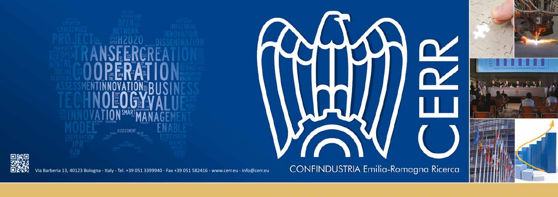

Via Barberia 13, 40123 Bologna - Italy - Tel. +39 051 3399940 - Fax +39 051 582416 - www.cerr.eu - info@cerr.eu

CONFINDUSTRIA Emilia-Romagna Ricerca